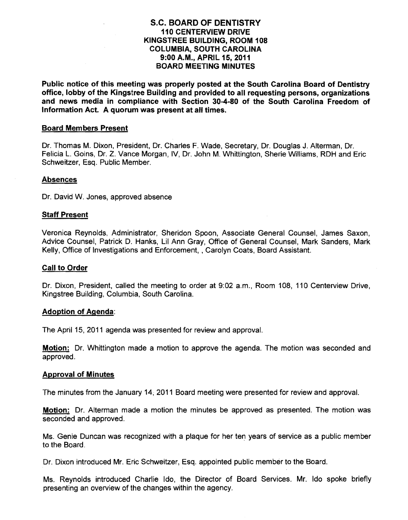## S.C. BOARD OF DENTISTRY 110 CENTERVIEW DRIVE KINGSTREE BUILDING, ROOM 108 COLUMBIA, SOUTH CAROLINA 9:00 A.M., APRIL 15, 2011 BOARD MEETING MINUTES

Public notice of this meeting was properly posted at the South Carolina Board of Dentistry office, lobby of the Kingstree Building and provided to all requesting persons, organizations and news media in compliance with Section 30-4·80 of the South Carolina Freedom of Information Act. A quorum was present at all times.

#### Board Members Present

Dr. Thomas M. Dixon, President, Dr. Charles F. Wade, Secretary, Dr. Douglas J. Alterman, Dr. Felicia L. Goins, Dr. Z. Vance Morgan, IV, Dr. John M. Whittington, Sherie Williams, RDH and Eric Schweitzer, Esq. Public Member.

#### Absences

Dr. David W. Jones, approved absence

#### Staff Present

Veronica Reynolds, Administrator, Sheridon Spoon, Associate General Counsel, James Saxon, Advice Counsel, Patrick D. Hanks, Lil Ann Gray, Office of General Counsel, Mark Sanders, Mark Kelly, Office of Investigations and Enforcement, , Carolyn Coats, Board Assistant.

#### Call to Order

Dr. Dixon, President, called the meeting to order at 9:02 a.m., Room 108, 110 Centerview Drive, Kingstree Building, Columbia, South Carolina.

#### Adoption of Agenda:

The April 15, 2011 agenda was presented for review and approval.

**<u>Motion:</u> Dr. Whittington made a motion to approve the agenda. The motion was seconded and** approved.

#### Approval of Minutes

The minutes from the January 14; 2011 Board meeting were presented for review and approval.

**Motion:** Dr. Alterman made a motion the minutes be approved as presented. The motion was seconded and approved.

Ms. Genie Duncan was recognized with a plaque for her ten years of service as a public member to the Board.

Dr. Dixon introduced Mr. Eric Schweitzer, Esq. appointed public member to the Board.

Ms. Reynolds introduced Charlie Ido, the Director of Board Services. Mr. Ido spoke briefly presenting an overview of the changes within the agency.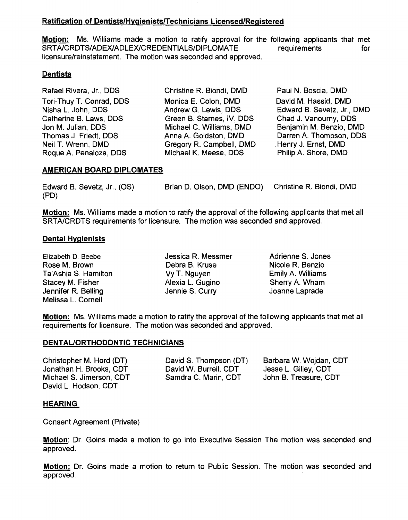## Ratification of Dentists/HygienistslTechnicians Licensed/Registered

Motion: Ms. Williams made a motion to ratify approval for the following applicants that met SRTA/CRDTS/ADEX/ADLEX/CREDENTIALS/DIPLOMATE requirements for licensure/reinstatement. The motion was seconded and approved.

## **Dentists**

Rafael Rivera, Jr., DDS Christine R. Biondi, DMD Paul N. Boscia, DMD Roque A. Penaloza, DDS

Tori-Thuy T. Conrad, DDS Monica E. Colon, DMD David M. Hassid, DMD<br>Nisha L. John, DDS Andrew G. Lewis, DDS Edward B. Sevetz, Jr., Catherine B. Laws, DDS Green B. Starnes, IV, DDS<br>
Jon M. Julian, DDS Michael C. Williams, DMD Jon M. Julian, DDS Michael C. Williams, DMD Benjamin M. Benzio, DMD Thomas J. Friedt, DDS (Anna A. Goldston, DMD (Darren A. Thompson, DDS)<br>
Neil T. Wrenn, DMD (Degory R. Campbell, DMD (Henry J. Ernst, DMD) Gregory R. Campbell, DMD ... Henry J. Ernst, DMD<br>Michael K. Meese, DDS ... Philip A. Shore, DMD

Nisha L. John, DDS **Andrew G. Lewis, DDS** Edward B. Sevetz, Jr., DMD Catherine B. Laws, DDS Green B. Starnes, IV, DDS Chad J. Vanourny, DDS

## AMERICAN BOARD DIPLOMATES

| Edward B. Sevetz, Jr., (OS) | Brian D. Olson, DMD (ENDO) | Christine R. Biondi, DMD |
|-----------------------------|----------------------------|--------------------------|
| (PD)                        |                            |                          |

Motion: Ms. Williams made a motion to ratify the approval of the following applicants that met all SRTAlCRDTS requirements for licensure. The motion was seconded and approved.

### Dental Hygienists

Rose M. Brown **Debra B. Kruse** Nicole R. Benzio Ta'Ashia S. Hamilton VyT. Nguyen Emily A. Williams Stacey M. Fisher **Alexia L. Gugino** Sherry A. Wham<br>
Jennifer R. Belling **S. State S. Curry State S. Curry** Jennifer R. Belling Jennie S. Curry Joanne Laprade Melissa L. Cornell

Elizabeth D. Beebe Jessica R. Messmer Adrienne S. Jones

Motion: Ms. Williams made a motion to ratify the approval of the following applicants that met all requirements for licensure. The motion was seconded and approved.

#### DENTAL/ORTHODONTIC TECHNICIANS

Christopher M. Hord (DT) David S. Thompson (DT) Barbara W. Wojdan, COT Jonathan H. Brooks, COT David W. Burrell, COT Jesse L. Gilley, COT Michael S. Jimerson, COT Samdra C. Marin, CDT John B. Treasure, COT David L. Hodson, COT

## HEARING

Consent Agreement (Private)

Motion: Dr. Goins made a motion to go into Executive Session The motion was seconded and approved.

Motion: Dr. Goins made a motion to return to Public Session. The motion was seconded and approved.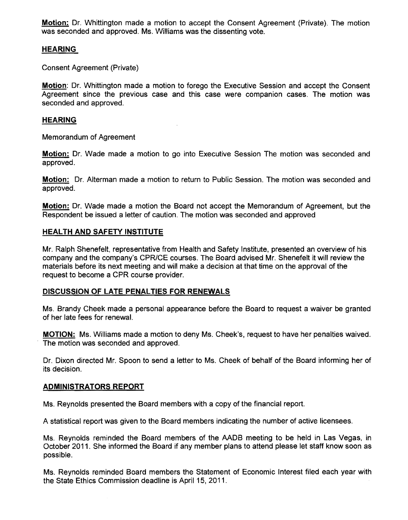Motion: Dr. Whittington made a motion to accept the Consent Agreement (Private). The motion was seconded and approved. Ms. Williams was the dissenting vote.

## HEARING

Consent Agreement (Private)

Motion: Dr. Whittington made a motion to forego the Executive Session and accept the Consent Agreement since the previous case and this case were companion cases. The motion was seconded and approved.

### HEARING

Memorandum of Agreement

Motion: Dr. Wade made a motion to go into Executive Session The motion was seconded and approved.

Motion: Dr. Alterman made a motion to return to Public Session. The motion was seconded and approved.

Motion: Dr. Wade made a motion the Board not accept the Memorandum of Agreement, but the Respondent be issued a letter of caution. The motion was seconded and approved

### HEALTH AND SAFETY INSTITUTE

Mr. Ralph Shenefelt, representative from Health and Safety Institute, presented an overview of his company and the company's CPR/CE courses. The Board advised Mr. Shenefelt it will review the materials before its next meeting and will make a decision at that time on the approval of the request to become a CPR course provider.

## DISCUSSION OF LATE PENALTIES FOR RENEWALS

Ms. Brandy Cheek made a personal appearance before the Board to request a waiver be granted of her late fees for renewal.

MOTION: Ms. Williams made a motion to deny Ms. Cheek's, request to have her penalties waived. The motion was seconded and approved.

Dr. Dixon directed Mr. Spoon to send a letter to Ms. Cheek of behalf of the Board informing her of its decision.

#### ADMINISTRATORS REPORT

Ms. Reynolds presented the Board members with a copy of the financial report.

A statistical report was given to the Board members indicating the number of active licensees.

Ms. Reynolds reminded the Board members of the AADB meeting to be held in Las Vegas, in October 2011. She informed the Board if any member plans to attend please let staff know soon as possible.

Ms. Reynolds reminded Board members the Statement of Economic Interest filed each year with the State Ethics Commission deadline is April 15, 2011. .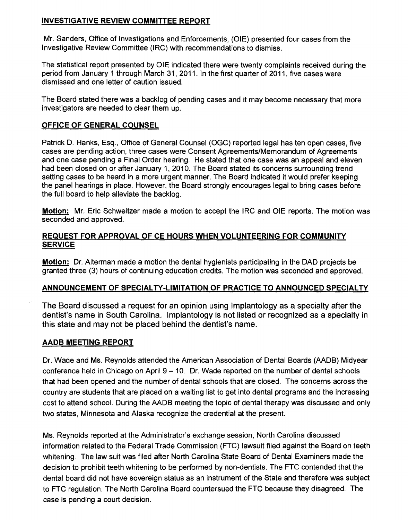# **INVESTIGATIVE REVIEW COMMITTEE REPORT**

Mr. Sanders, Office of Investigations and Enforcements, (OlE) presented four cases from the Investigative Review Committee (IRC) with recommendations to dismiss.

The statistical report presented by OlE indicated there were twenty complaints received during the period from January 1 through March 31, 2011. In the first quarter of 2011, five cases were dismissed and one letter of caution issued.

The Board stated there was a backlog of pending cases and it may become necessary that more investigators are needed to clear them up.

# **OFFICE OF GENERAL COUNSEL**

Patrick D. Hanks, Esq., Office of General Counsel (OGC) reported legal has ten open cases, five cases are pending action, three cases were Consent Agreements/Memorandum of Agreements and one case pending a Final Order hearing. He stated that one case was an appeal and eleven had been closed on or after January 1, 2010. The Board stated its concerns surrounding trend setting cases to be heard in a more urgent manner. The Board indicated it would prefer keeping the panel hearings in place. However, the Board strongly encourages legal to bring cases before the full board to help alleviate the backlog.

**Motion:** Mr. Eric Schweitzer made a motion to accept the IRC and OlE reports. The motion was seconded and approved.

## **REQUEST FOR APPROVAL OF CE HOURS WHEN VOLUNTEERING FOR COMMUNITY SERVICE**

**Motion:** Dr. Alterman made a motion the dental hygienists participating in the DAD projects be granted three (3) hours of continuing education credits. The motion was seconded and approved.

# **ANNOUNCEMENT OF SPECIALTY-LIMITATION OF PRACTICE TO ANNOUNCED SPECIALTY**

The Board discussed a request for an opinion using Implantology as a specialty after the dentist's name in South Carolina. Implantology is not listed or recognized as a specialty in this state and may not be placed behind the dentist's name.

# **AADB MEETING REPORT**

Dr. Wade and Ms. Reynolds attended the American Association of Dental Boards (AADB) Midyear conference held in Chicago on April  $9 - 10$ . Dr. Wade reported on the number of dental schools that had been opened and the number of dental schools that are closed. The concerns across the country are students that are placed on a waiting list to get into dental programs and the increasing cost to attend school. During the AADB meeting the topic of dental therapy was discussed and only two states, Minnesota and Alaska recognize the credential at the present.

Ms. Reynolds reported at the Administrator's exchange session, North Carolina discussed information related to the Federal Trade Commission (FTC) lawsuit filed against the Board on teeth whitening. The law suit was filed after North Carolina State Board of Dental Examiners made the decision to prohibit teeth whitening to be performed by non-dentists. The FTC contended that the dental board did not have sovereign status as an instrument of the State and therefore was subject to FTC regulation. The North Carolina Board countersued the FTC because they disagreed. The case is pending a court decision.